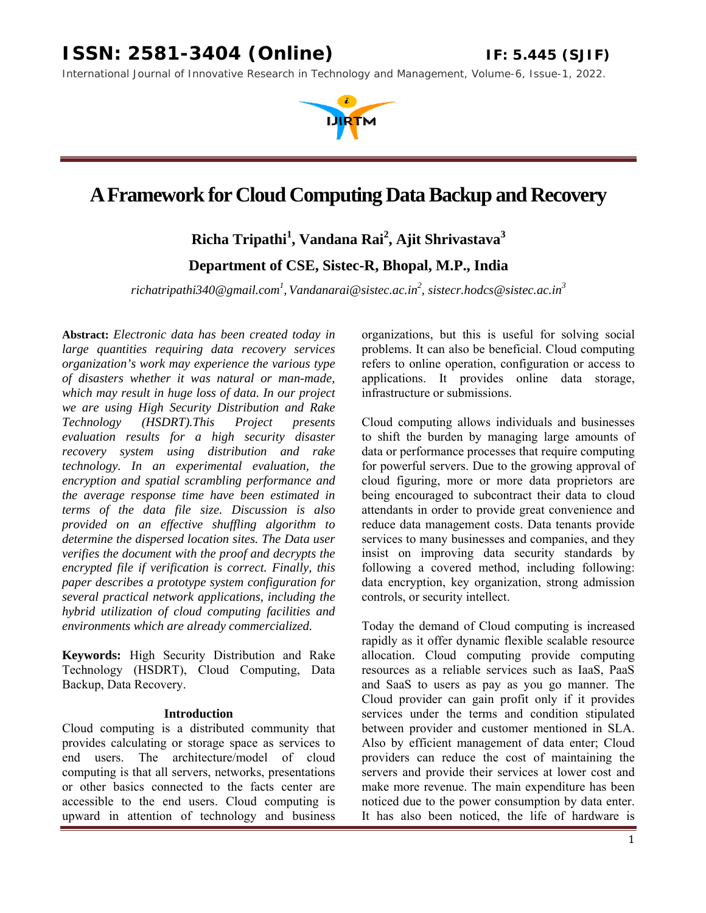*International Journal of Innovative Research in Technology and Management, Volume-6, Issue-1, 2022.* 

# **A Framework for Cloud Computing Data Backup and Recovery**

**Richa Tripathi1 , Vandana Rai2 , Ajit Shrivastava<sup>3</sup>**

**Department of CSE, Sistec-R, Bhopal, M.P., India**

*richatripathi340@gmail.com1 , Vandanarai@sistec.ac.in<sup>2</sup> , sistecr.hodcs@sistec.ac.in<sup>3</sup>*

**Abstract:** *Electronic data has been created today in large quantities requiring data recovery services organization's work may experience the various type of disasters whether it was natural or man-made, which may result in huge loss of data. In our project we are using High Security Distribution and Rake Technology (HSDRT).This Project presents evaluation results for a high security disaster recovery system using distribution and rake technology. In an experimental evaluation, the encryption and spatial scrambling performance and the average response time have been estimated in terms of the data file size. Discussion is also provided on an effective shuffling algorithm to determine the dispersed location sites. The Data user verifies the document with the proof and decrypts the encrypted file if verification is correct. Finally, this paper describes a prototype system configuration for several practical network applications, including the hybrid utilization of cloud computing facilities and environments which are already commercialized.*

**Keywords:** High Security Distribution and Rake Technology (HSDRT), Cloud Computing, Data Backup, Data Recovery.

#### **Introduction**

Cloud computing is a distributed community that provides calculating or storage space as services to end users. The architecture/model of cloud computing is that all servers, networks, presentations or other basics connected to the facts center are accessible to the end users. Cloud computing is upward in attention of technology and business

organizations, but this is useful for solving social problems. It can also be beneficial. Cloud computing refers to online operation, configuration or access to applications. It provides online data storage, infrastructure or submissions.

Cloud computing allows individuals and businesses to shift the burden by managing large amounts of data or performance processes that require computing for powerful servers. Due to the growing approval of cloud figuring, more or more data proprietors are being encouraged to subcontract their data to cloud attendants in order to provide great convenience and reduce data management costs. Data tenants provide services to many businesses and companies, and they insist on improving data security standards by following a covered method, including following: data encryption, key organization, strong admission controls, or security intellect.

Today the demand of Cloud computing is increased rapidly as it offer dynamic flexible scalable resource allocation. Cloud computing provide computing resources as a reliable services such as IaaS, PaaS and SaaS to users as pay as you go manner. The Cloud provider can gain profit only if it provides services under the terms and condition stipulated between provider and customer mentioned in SLA. Also by efficient management of data enter; Cloud providers can reduce the cost of maintaining the servers and provide their services at lower cost and make more revenue. The main expenditure has been noticed due to the power consumption by data enter. It has also been noticed, the life of hardware is

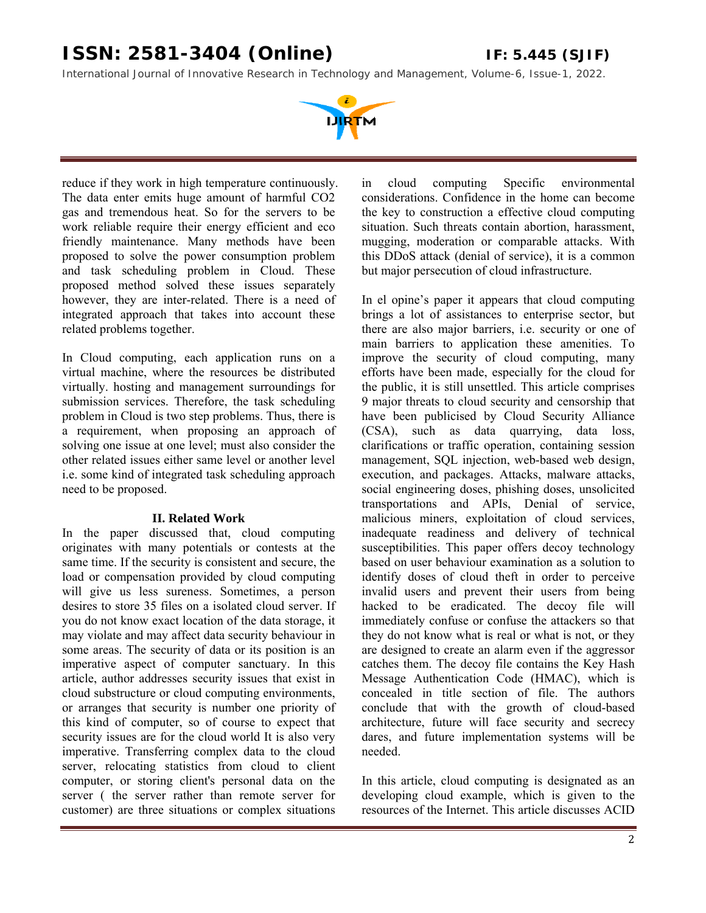*International Journal of Innovative Research in Technology and Management, Volume-6, Issue-1, 2022.* 



reduce if they work in high temperature continuously. The data enter emits huge amount of harmful CO2 gas and tremendous heat. So for the servers to be work reliable require their energy efficient and eco friendly maintenance. Many methods have been proposed to solve the power consumption problem and task scheduling problem in Cloud. These proposed method solved these issues separately however, they are inter-related. There is a need of integrated approach that takes into account these related problems together.

In Cloud computing, each application runs on a virtual machine, where the resources be distributed virtually. hosting and management surroundings for submission services. Therefore, the task scheduling problem in Cloud is two step problems. Thus, there is a requirement, when proposing an approach of solving one issue at one level; must also consider the other related issues either same level or another level i.e. some kind of integrated task scheduling approach need to be proposed.

#### **II. Related Work**

In the paper discussed that, cloud computing originates with many potentials or contests at the same time. If the security is consistent and secure, the load or compensation provided by cloud computing will give us less sureness. Sometimes, a person desires to store 35 files on a isolated cloud server. If you do not know exact location of the data storage, it may violate and may affect data security behaviour in some areas. The security of data or its position is an imperative aspect of computer sanctuary. In this article, author addresses security issues that exist in cloud substructure or cloud computing environments, or arranges that security is number one priority of this kind of computer, so of course to expect that security issues are for the cloud world It is also very imperative. Transferring complex data to the cloud server, relocating statistics from cloud to client computer, or storing client's personal data on the server ( the server rather than remote server for customer) are three situations or complex situations

in cloud computing Specific environmental considerations. Confidence in the home can become the key to construction a effective cloud computing situation. Such threats contain abortion, harassment, mugging, moderation or comparable attacks. With this DDoS attack (denial of service), it is a common but major persecution of cloud infrastructure.

In el opine's paper it appears that cloud computing brings a lot of assistances to enterprise sector, but there are also major barriers, i.e. security or one of main barriers to application these amenities. To improve the security of cloud computing, many efforts have been made, especially for the cloud for the public, it is still unsettled. This article comprises 9 major threats to cloud security and censorship that have been publicised by Cloud Security Alliance (CSA), such as data quarrying, data loss, clarifications or traffic operation, containing session management, SQL injection, web-based web design, execution, and packages. Attacks, malware attacks, social engineering doses, phishing doses, unsolicited transportations and APIs, Denial of service, malicious miners, exploitation of cloud services, inadequate readiness and delivery of technical susceptibilities. This paper offers decoy technology based on user behaviour examination as a solution to identify doses of cloud theft in order to perceive invalid users and prevent their users from being hacked to be eradicated. The decoy file will immediately confuse or confuse the attackers so that they do not know what is real or what is not, or they are designed to create an alarm even if the aggressor catches them. The decoy file contains the Key Hash Message Authentication Code (HMAC), which is concealed in title section of file. The authors conclude that with the growth of cloud-based architecture, future will face security and secrecy dares, and future implementation systems will be needed.

In this article, cloud computing is designated as an developing cloud example, which is given to the resources of the Internet. This article discusses ACID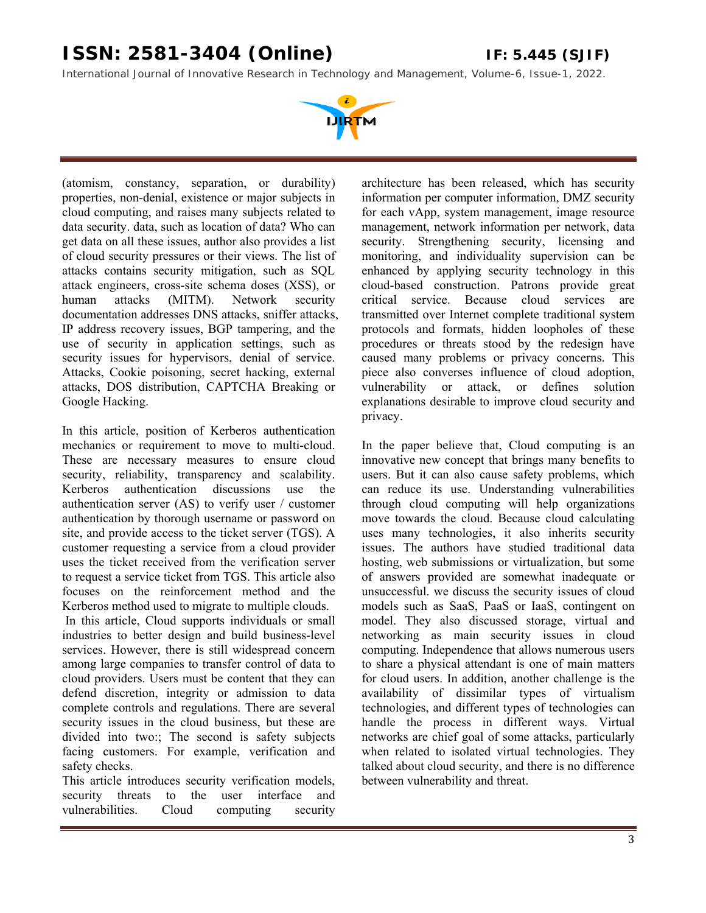*International Journal of Innovative Research in Technology and Management, Volume-6, Issue-1, 2022.* 



(atomism, constancy, separation, or durability) properties, non-denial, existence or major subjects in cloud computing, and raises many subjects related to data security. data, such as location of data? Who can get data on all these issues, author also provides a list of cloud security pressures or their views. The list of attacks contains security mitigation, such as SQL attack engineers, cross-site schema doses (XSS), or human attacks (MITM). Network security documentation addresses DNS attacks, sniffer attacks, IP address recovery issues, BGP tampering, and the use of security in application settings, such as security issues for hypervisors, denial of service. Attacks, Cookie poisoning, secret hacking, external attacks, DOS distribution, CAPTCHA Breaking or Google Hacking.

In this article, position of Kerberos authentication mechanics or requirement to move to multi-cloud. These are necessary measures to ensure cloud security, reliability, transparency and scalability. Kerberos authentication discussions use the authentication server (AS) to verify user / customer authentication by thorough username or password on site, and provide access to the ticket server (TGS). A customer requesting a service from a cloud provider uses the ticket received from the verification server to request a service ticket from TGS. This article also focuses on the reinforcement method and the Kerberos method used to migrate to multiple clouds. In this article, Cloud supports individuals or small industries to better design and build business-level services. However, there is still widespread concern among large companies to transfer control of data to cloud providers. Users must be content that they can defend discretion, integrity or admission to data complete controls and regulations. There are several security issues in the cloud business, but these are divided into two:; The second is safety subjects facing customers. For example, verification and safety checks.

This article introduces security verification models, security threats to the user interface and vulnerabilities. Cloud computing security

architecture has been released, which has security information per computer information, DMZ security for each vApp, system management, image resource management, network information per network, data security. Strengthening security, licensing and monitoring, and individuality supervision can be enhanced by applying security technology in this cloud-based construction. Patrons provide great critical service. Because cloud services are transmitted over Internet complete traditional system protocols and formats, hidden loopholes of these procedures or threats stood by the redesign have caused many problems or privacy concerns. This piece also converses influence of cloud adoption, vulnerability or attack, or defines solution explanations desirable to improve cloud security and privacy.

In the paper believe that, Cloud computing is an innovative new concept that brings many benefits to users. But it can also cause safety problems, which can reduce its use. Understanding vulnerabilities through cloud computing will help organizations move towards the cloud. Because cloud calculating uses many technologies, it also inherits security issues. The authors have studied traditional data hosting, web submissions or virtualization, but some of answers provided are somewhat inadequate or unsuccessful. we discuss the security issues of cloud models such as SaaS, PaaS or IaaS, contingent on model. They also discussed storage, virtual and networking as main security issues in cloud computing. Independence that allows numerous users to share a physical attendant is one of main matters for cloud users. In addition, another challenge is the availability of dissimilar types of virtualism technologies, and different types of technologies can handle the process in different ways. Virtual networks are chief goal of some attacks, particularly when related to isolated virtual technologies. They talked about cloud security, and there is no difference between vulnerability and threat.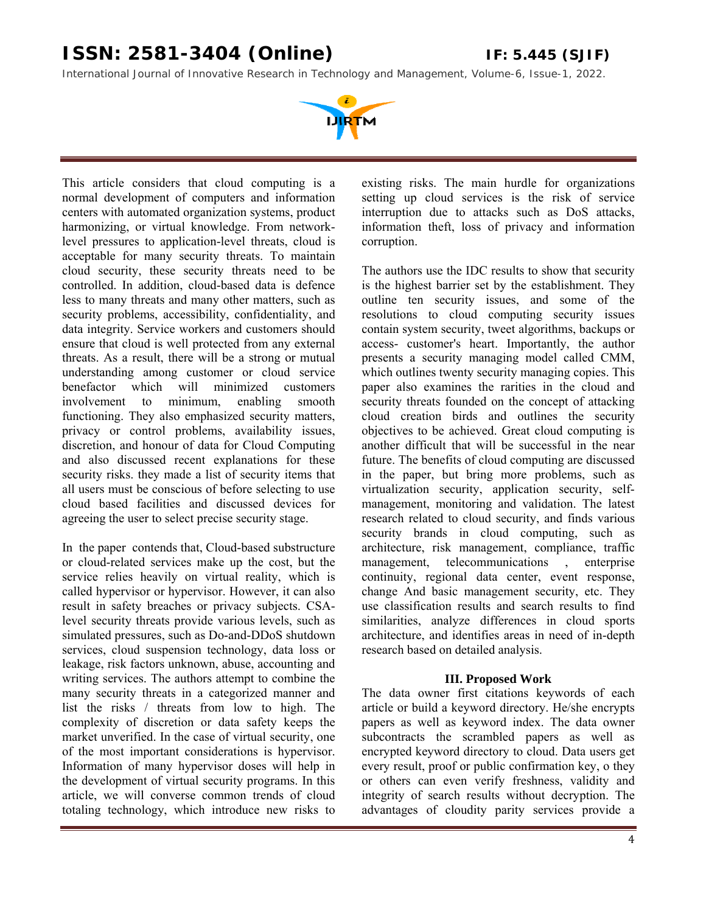*International Journal of Innovative Research in Technology and Management, Volume-6, Issue-1, 2022.* 



This article considers that cloud computing is a normal development of computers and information centers with automated organization systems, product harmonizing, or virtual knowledge. From networklevel pressures to application-level threats, cloud is acceptable for many security threats. To maintain cloud security, these security threats need to be controlled. In addition, cloud-based data is defence less to many threats and many other matters, such as security problems, accessibility, confidentiality, and data integrity. Service workers and customers should ensure that cloud is well protected from any external threats. As a result, there will be a strong or mutual understanding among customer or cloud service benefactor which will minimized customers involvement to minimum, enabling smooth functioning. They also emphasized security matters, privacy or control problems, availability issues, discretion, and honour of data for Cloud Computing and also discussed recent explanations for these security risks. they made a list of security items that all users must be conscious of before selecting to use cloud based facilities and discussed devices for agreeing the user to select precise security stage.

In the paper contends that, Cloud-based substructure or cloud-related services make up the cost, but the service relies heavily on virtual reality, which is called hypervisor or hypervisor. However, it can also result in safety breaches or privacy subjects. CSAlevel security threats provide various levels, such as simulated pressures, such as Do-and-DDoS shutdown services, cloud suspension technology, data loss or leakage, risk factors unknown, abuse, accounting and writing services. The authors attempt to combine the many security threats in a categorized manner and list the risks / threats from low to high. The complexity of discretion or data safety keeps the market unverified. In the case of virtual security, one of the most important considerations is hypervisor. Information of many hypervisor doses will help in the development of virtual security programs. In this article, we will converse common trends of cloud totaling technology, which introduce new risks to

existing risks. The main hurdle for organizations setting up cloud services is the risk of service interruption due to attacks such as DoS attacks, information theft, loss of privacy and information corruption.

The authors use the IDC results to show that security is the highest barrier set by the establishment. They outline ten security issues, and some of the resolutions to cloud computing security issues contain system security, tweet algorithms, backups or access- customer's heart. Importantly, the author presents a security managing model called CMM, which outlines twenty security managing copies. This paper also examines the rarities in the cloud and security threats founded on the concept of attacking cloud creation birds and outlines the security objectives to be achieved. Great cloud computing is another difficult that will be successful in the near future. The benefits of cloud computing are discussed in the paper, but bring more problems, such as virtualization security, application security, selfmanagement, monitoring and validation. The latest research related to cloud security, and finds various security brands in cloud computing, such as architecture, risk management, compliance, traffic management, telecommunications , enterprise continuity, regional data center, event response, change And basic management security, etc. They use classification results and search results to find similarities, analyze differences in cloud sports architecture, and identifies areas in need of in-depth research based on detailed analysis.

#### **III. Proposed Work**

The data owner first citations keywords of each article or build a keyword directory. He/she encrypts papers as well as keyword index. The data owner subcontracts the scrambled papers as well as encrypted keyword directory to cloud. Data users get every result, proof or public confirmation key, o they or others can even verify freshness, validity and integrity of search results without decryption. The advantages of cloudity parity services provide a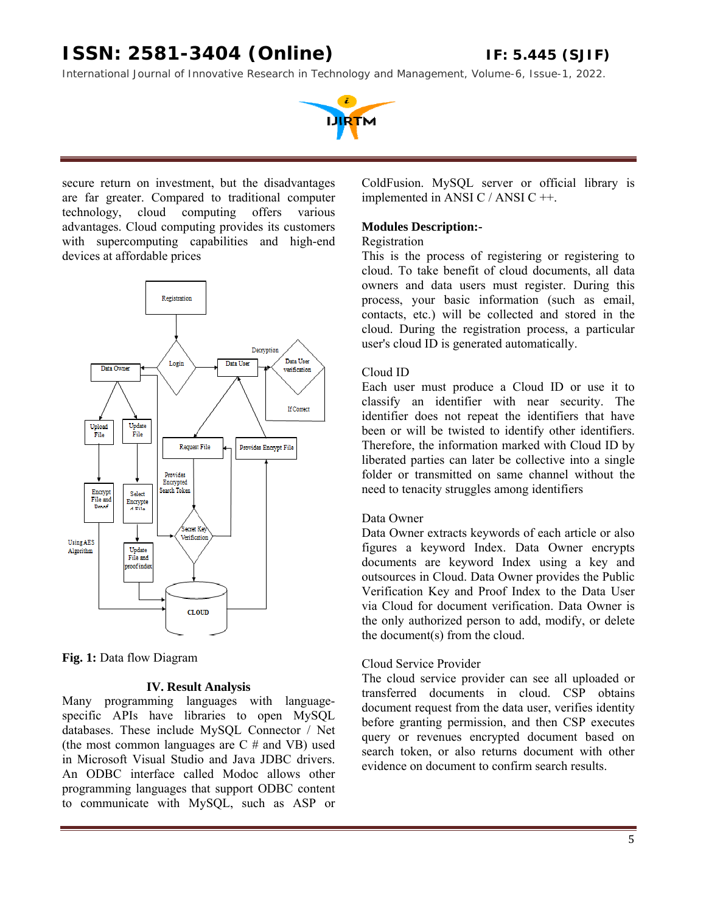*International Journal of Innovative Research in Technology and Management, Volume-6, Issue-1, 2022.* 



secure return on investment, but the disadvantages are far greater. Compared to traditional computer technology, cloud computing offers various advantages. Cloud computing provides its customers with supercomputing capabilities and high-end devices at affordable prices



**Fig. 1:** Data flow Diagram

#### **IV. Result Analysis**

Many programming languages with languagespecific APIs have libraries to open MySQL databases. These include MySQL Connector / Net (the most common languages are  $C \#$  and VB) used in Microsoft Visual Studio and Java JDBC drivers. An ODBC interface called Modoc allows other programming languages that support ODBC content to communicate with MySQL, such as ASP or

ColdFusion. MySQL server or official library is implemented in ANSI C / ANSI C ++.

#### **Modules Description:-**

### Registration

This is the process of registering or registering to cloud. To take benefit of cloud documents, all data owners and data users must register. During this process, your basic information (such as email, contacts, etc.) will be collected and stored in the cloud. During the registration process, a particular user's cloud ID is generated automatically.

#### Cloud ID

Each user must produce a Cloud ID or use it to classify an identifier with near security. The identifier does not repeat the identifiers that have been or will be twisted to identify other identifiers. Therefore, the information marked with Cloud ID by liberated parties can later be collective into a single folder or transmitted on same channel without the need to tenacity struggles among identifiers

#### Data Owner

Data Owner extracts keywords of each article or also figures a keyword Index. Data Owner encrypts documents are keyword Index using a key and outsources in Cloud. Data Owner provides the Public Verification Key and Proof Index to the Data User via Cloud for document verification. Data Owner is the only authorized person to add, modify, or delete the document(s) from the cloud.

#### Cloud Service Provider

The cloud service provider can see all uploaded or transferred documents in cloud. CSP obtains document request from the data user, verifies identity before granting permission, and then CSP executes query or revenues encrypted document based on search token, or also returns document with other evidence on document to confirm search results.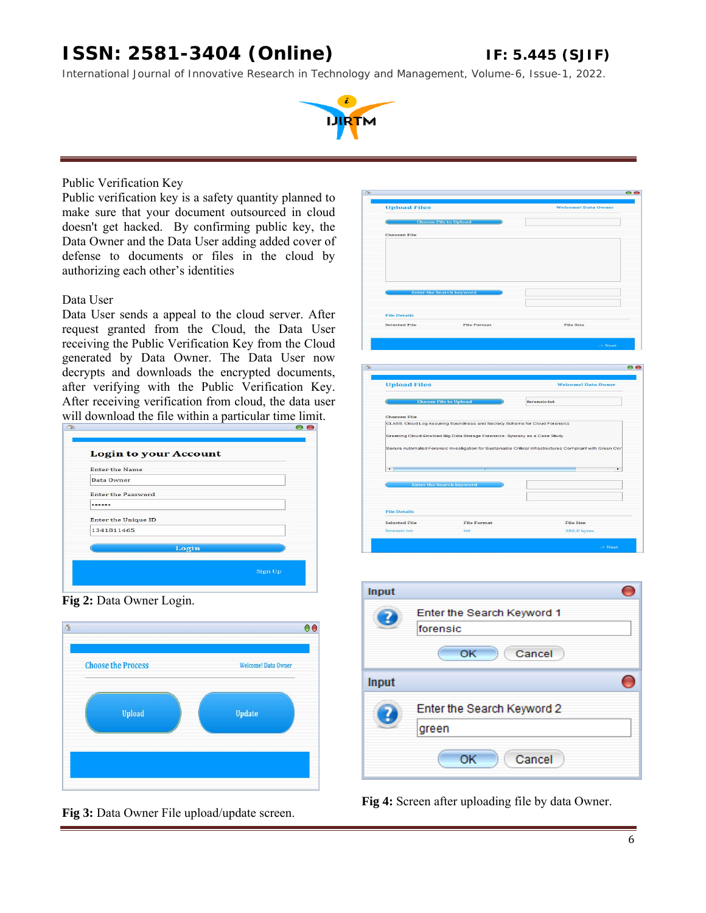*International Journal of Innovative Research in Technology and Management, Volume-6, Issue-1, 2022.* 



#### Public Verification Key

Public verification key is a safety quantity planned to make sure that your document outsourced in cloud doesn't get hacked. By confirming public key, the Data Owner and the Data User adding added cover of defense to documents or files in the cloud by authorizing each other's identities

#### Data User

Data User sends a appeal to the cloud server. After request granted from the Cloud, the Data User receiving the Public Verification Key from the Cloud generated by Data Owner. The Data User now decrypts and downloads the encrypted documents, after verifying with the Public Verification Key. After receiving verification from cloud, the data user will download the file within a particular time limit.

| Data Owner                 |  |
|----------------------------|--|
| <b>Enter the Password</b>  |  |
| ------                     |  |
| <b>Enter the Unique ID</b> |  |
| 1341811465                 |  |
| Login                      |  |





| <b>Upload Files</b>                                  |                                                                            | <b>Welcome! Data Owner</b>                                                                                |
|------------------------------------------------------|----------------------------------------------------------------------------|-----------------------------------------------------------------------------------------------------------|
|                                                      | <b>Choose File to Upload</b>                                               |                                                                                                           |
| <b>Choosen File</b>                                  |                                                                            |                                                                                                           |
|                                                      |                                                                            |                                                                                                           |
|                                                      |                                                                            |                                                                                                           |
|                                                      |                                                                            |                                                                                                           |
|                                                      |                                                                            |                                                                                                           |
|                                                      |                                                                            |                                                                                                           |
|                                                      | <b>Enter the Search keyword</b>                                            |                                                                                                           |
|                                                      |                                                                            |                                                                                                           |
| <b>File Details</b>                                  |                                                                            |                                                                                                           |
| <b>Selected File</b>                                 | <b>File Format</b>                                                         | File Size                                                                                                 |
|                                                      |                                                                            |                                                                                                           |
|                                                      |                                                                            | $>$ Next                                                                                                  |
|                                                      |                                                                            |                                                                                                           |
|                                                      |                                                                            |                                                                                                           |
|                                                      |                                                                            |                                                                                                           |
|                                                      |                                                                            |                                                                                                           |
|                                                      |                                                                            |                                                                                                           |
|                                                      |                                                                            | <b>Welcome! Data Owner</b>                                                                                |
| <b>Upload Files</b>                                  | <b>Choose File to Upload</b>                                               | forensic.txt                                                                                              |
|                                                      |                                                                            |                                                                                                           |
|                                                      |                                                                            |                                                                                                           |
|                                                      | CLASS: Cloud Log Assuring Soundness and Secrecy Scheme for Cloud Forensics |                                                                                                           |
|                                                      | Greening Cloud-Enabled Big Data Storage Forensics: Syncany as a Case Study |                                                                                                           |
| <b>Choosen File</b>                                  |                                                                            | Secure Automated Forensic Investigation for Sustainable Critical Infrastructures Compliant with Green Cor |
|                                                      |                                                                            |                                                                                                           |
| $\blacksquare$                                       |                                                                            | ¥                                                                                                         |
|                                                      |                                                                            |                                                                                                           |
|                                                      | <b>Enter the Search keyword</b>                                            |                                                                                                           |
|                                                      |                                                                            |                                                                                                           |
|                                                      |                                                                            |                                                                                                           |
|                                                      | <b>File Format</b>                                                         | File Size                                                                                                 |
| <b>File Details</b><br>Selected File<br>forensic.txt | txt                                                                        | 286.0 bytes                                                                                               |



**Fig 3:** Data Owner File upload/update screen. **Fig 4:** Screen after uploading file by data Owner.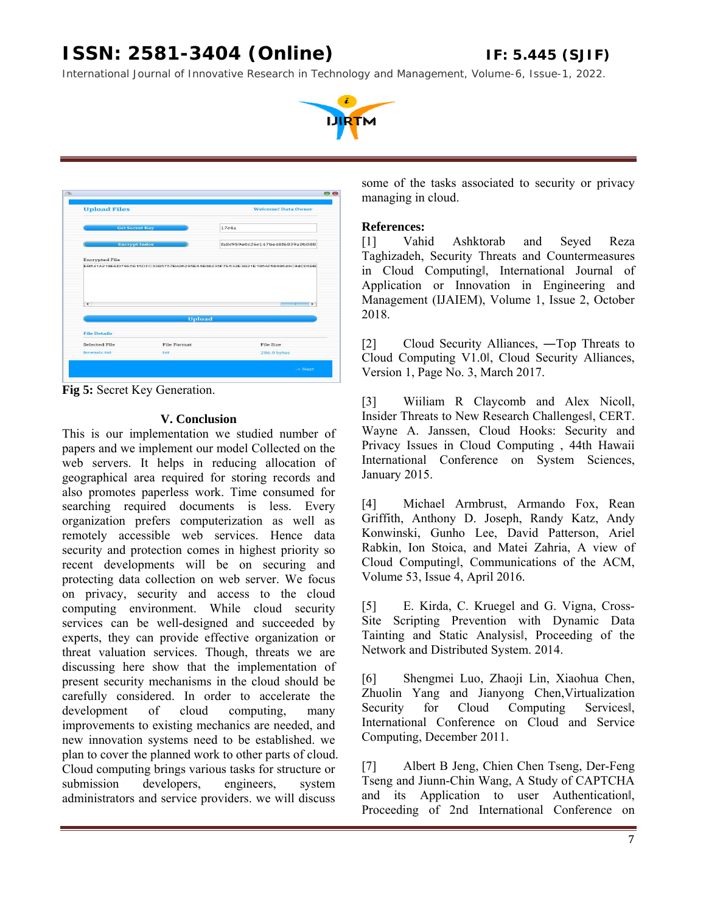*International Journal of Innovative Research in Technology and Management, Volume-6, Issue-1, 2022.* 



| <b>Upload Files</b>   |                       |                    | <b>Welcome! Data Owner</b>                                                    |
|-----------------------|-----------------------|--------------------|-------------------------------------------------------------------------------|
|                       | <b>Get Secret Key</b> |                    | 17c4a                                                                         |
|                       | <b>Encrypt Index</b>  |                    | fa8c959e0c26c147be48f6839a0b088                                               |
|                       |                       |                    |                                                                               |
| <b>Encrypted File</b> |                       |                    | EB541A218EED79E5E15DFC33B5757BA06295E61B08235F7E532E3B21E185AF5898649C94C06BB |
| $\rightarrow$         |                       |                    | mir<br>×                                                                      |
|                       |                       | <b>Upload</b>      |                                                                               |
| <b>File Details</b>   |                       |                    |                                                                               |
| Selected File         |                       | <b>File Format</b> | File Size                                                                     |

**Fig 5:** Secret Key Generation.

### **V. Conclusion**

This is our implementation we studied number of papers and we implement our model Collected on the web servers. It helps in reducing allocation of geographical area required for storing records and also promotes paperless work. Time consumed for searching required documents is less. Every organization prefers computerization as well as remotely accessible web services. Hence data security and protection comes in highest priority so recent developments will be on securing and protecting data collection on web server. We focus on privacy, security and access to the cloud computing environment. While cloud security services can be well-designed and succeeded by experts, they can provide effective organization or threat valuation services. Though, threats we are discussing here show that the implementation of present security mechanisms in the cloud should be carefully considered. In order to accelerate the development of cloud computing, many improvements to existing mechanics are needed, and new innovation systems need to be established. we plan to cover the planned work to other parts of cloud. Cloud computing brings various tasks for structure or submission developers, engineers, system administrators and service providers. we will discuss

some of the tasks associated to security or privacy managing in cloud.

### **References:**

[1] Vahid Ashktorab and Seyed Reza Taghizadeh, Security Threats and Countermeasures in Cloud Computingǁ, International Journal of Application or Innovation in Engineering and Management (IJAIEM), Volume 1, Issue 2, October 2018.

[2] Cloud Security Alliances, ―Top Threats to Cloud Computing V1.0ǁ, Cloud Security Alliances, Version 1, Page No. 3, March 2017.

[3] Wiiliam R Claycomb and Alex Nicoll, Insider Threats to New Research Challengesǁ, CERT. Wayne A. Janssen, Cloud Hooks: Security and Privacy Issues in Cloud Computing , 44th Hawaii International Conference on System Sciences, January 2015.

[4] Michael Armbrust, Armando Fox, Rean Griffith, Anthony D. Joseph, Randy Katz, Andy Konwinski, Gunho Lee, David Patterson, Ariel Rabkin, Ion Stoica, and Matei Zahria, A view of Cloud Computingǁ, Communications of the ACM, Volume 53, Issue 4, April 2016.

[5] E. Kirda, C. Kruegel and G. Vigna, Cross-Site Scripting Prevention with Dynamic Data Tainting and Static Analysisǁ, Proceeding of the Network and Distributed System. 2014.

[6] Shengmei Luo, Zhaoji Lin, Xiaohua Chen, Zhuolin Yang and Jianyong Chen,Virtualization Security for Cloud Computing Services International Conference on Cloud and Service Computing, December 2011.

[7] Albert B Jeng, Chien Chen Tseng, Der-Feng Tseng and Jiunn-Chin Wang, A Study of CAPTCHA and its Application to user Authenticationǁ, Proceeding of 2nd International Conference on